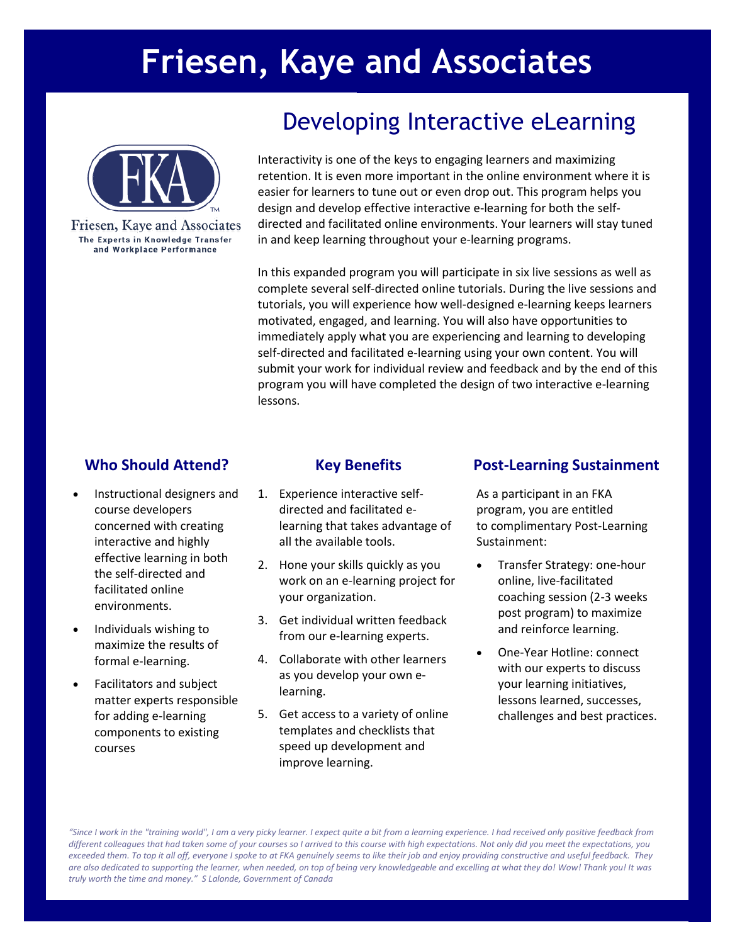# **Friesen, Kaye and Associates**



Friesen, Kaye and Associates The Experts in Knowledge Transfer and Workplace Performance

# Developing Interactive eLearning

Interactivity is one of the keys to engaging learners and maximizing retention. It is even more important in the online environment where it is easier for learners to tune out or even drop out. This program helps you design and develop effective interactive e-learning for both the selfdirected and facilitated online environments. Your learners will stay tuned in and keep learning throughout your e-learning programs.

In this expanded program you will participate in six live sessions as well as complete several self-directed online tutorials. During the live sessions and tutorials, you will experience how well-designed e-learning keeps learners motivated, engaged, and learning. You will also have opportunities to immediately apply what you are experiencing and learning to developing self-directed and facilitated e-learning using your own content. You will submit your work for individual review and feedback and by the end of this program you will have completed the design of two interactive e-learning lessons.

- Instructional designers and course developers concerned with creating interactive and highly effective learning in both the self-directed and facilitated online environments.
- Individuals wishing to maximize the results of formal e-learning.
- Facilitators and subject matter experts responsible for adding e-learning components to existing courses

- 1. Experience interactive selfdirected and facilitated elearning that takes advantage of all the available tools.
- 2. Hone your skills quickly as you work on an e-learning project for your organization.
- 3. Get individual written feedback from our e-learning experts.
- 4. Collaborate with other learners as you develop your own elearning.
- 5. Get access to a variety of online templates and checklists that speed up development and improve learning.

# **Who Should Attend? Key Benefits Post-Learning Sustainment**

As a participant in an FKA program, you are entitled to complimentary Post-Learning Sustainment:

- Transfer Strategy: one-hour online, live-facilitated coaching session (2-3 weeks post program) to maximize and reinforce learning.
- One-Year Hotline: connect with our experts to discuss your learning initiatives, lessons learned, successes, challenges and best practices.

*"Since I work in the "training world", I am a very picky learner. I expect quite a bit from a learning experience. I had received only positive feedback from different colleagues that had taken some of your courses so I arrived to this course with high expectations. Not only did you meet the expectations, you exceeded them. To top it all off, everyone I spoke to at FKA genuinely seems to like their job and enjoy providing constructive and useful feedback. They are also dedicated to supporting the learner, when needed, on top of being very knowledgeable and excelling at what they do! Wow! Thank you! It was truly worth the time and money." S Lalonde, Government of Canada*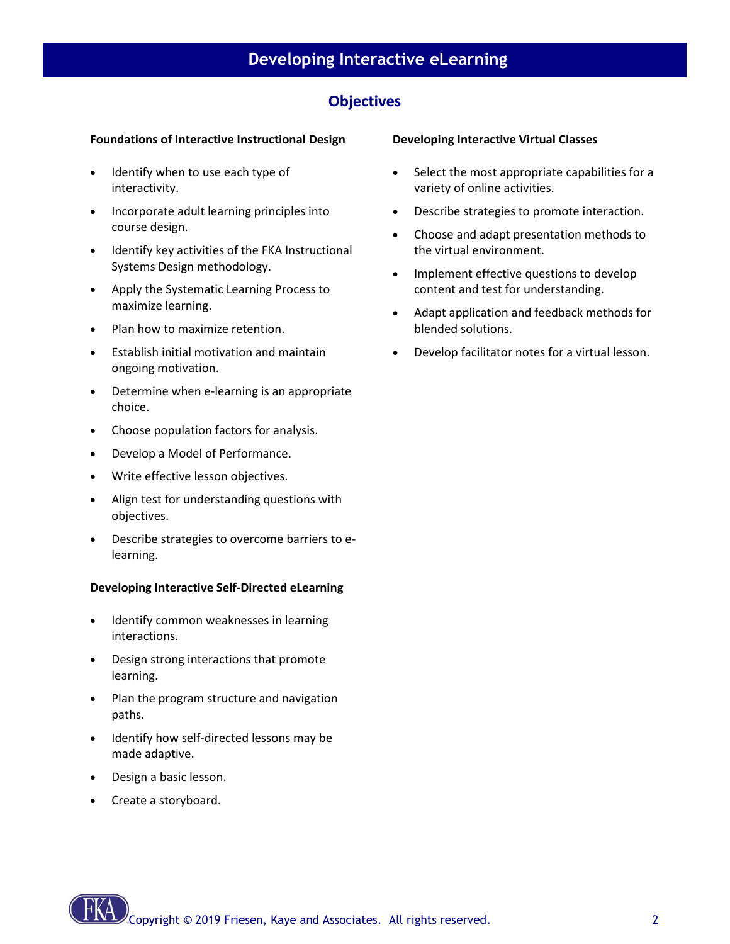# **Developing Interactive eLearning**

# **Objectives**

# **Foundations of Interactive Instructional Design**

- Identify when to use each type of interactivity.
- Incorporate adult learning principles into course design.
- Identify key activities of the FKA Instructional Systems Design methodology.
- Apply the Systematic Learning Process to maximize learning.
- Plan how to maximize retention.
- Establish initial motivation and maintain ongoing motivation.
- Determine when e-learning is an appropriate choice.
- Choose population factors for analysis.
- Develop a Model of Performance.
- Write effective lesson objectives.
- Align test for understanding questions with objectives.
- Describe strategies to overcome barriers to elearning.

### **Developing Interactive Self-Directed eLearning**

- Identify common weaknesses in learning interactions.
- Design strong interactions that promote learning.
- Plan the program structure and navigation paths.
- Identify how self-directed lessons may be made adaptive.
- Design a basic lesson.
- Create a storyboard.

#### **Developing Interactive Virtual Classes**

- Select the most appropriate capabilities for a variety of online activities.
- Describe strategies to promote interaction.
- Choose and adapt presentation methods to the virtual environment.
- Implement effective questions to develop content and test for understanding.
- Adapt application and feedback methods for blended solutions.
- Develop facilitator notes for a virtual lesson.